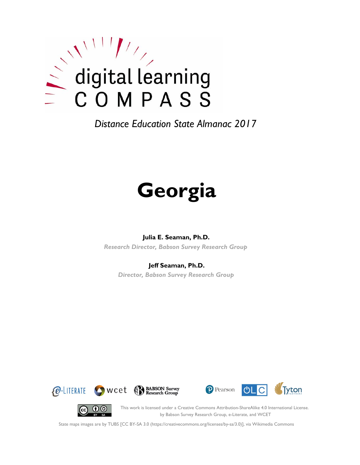

# **Georgia**

## **Julia E. Seaman, Ph.D.**

*Research Director, Babson Survey Research Group*

## **Jeff Seaman, Ph.D.**

*Director, Babson Survey Research Group*









This work is licensed under a Creative Commons Attribution-ShareAlike 4.0 International License. by Babson Survey Research Group, e-Literate, and WCET

State maps images are by TUBS [CC BY-SA 3.0 (https://creativecommons.org/licenses/by-sa/3.0)], via Wikimedia Commons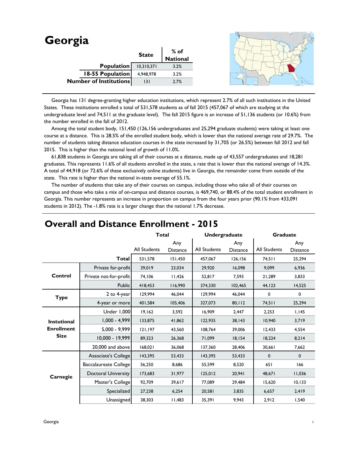| Georgia                       |              |                  |  |
|-------------------------------|--------------|------------------|--|
|                               | <b>State</b> | % of<br>National |  |
|                               |              |                  |  |
| Population                    | 10,310,371   | 3.2%             |  |
| 18-55 Population              | 4,948,978    | 3.2%             |  |
| <b>Number of Institutions</b> | 3            | 2.7%             |  |
|                               |              |                  |  |

 Georgia has 131 degree-granting higher education institutions, which represent 2.7% of all such institutions in the United States. These institutions enrolled a total of 531,578 students as of fall 2015 (457,067 of which are studying at the undergraduate level and 74,511 at the graduate level). The fall 2015 figure is an increase of 51,136 students (or 10.6%) from the number enrolled in the fall of 2012.

 Among the total student body, 151,450 (126,156 undergraduates and 25,294 graduate students) were taking at least one course at a distance. This is 28.5% of the enrolled student body, which is lower than the national average rate of 29.7%. The number of students taking distance education courses in the state increased by 31,705 (or 26.5%) between fall 2012 and fall 2015. This is higher than the national level of growth of 11.0%.

 61,838 students in Georgia are taking all of their courses at a distance, made up of 43,557 undergraduates and 18,281 graduates. This represents 11.6% of all students enrolled in the state, a rate that is lower than the national average of 14.3%. A total of 44,918 (or 72.6% of these exclusively online students) live in Georgia, the remainder come from outside of the state. This rate is higher than the national in-state average of 55.1%.

 The number of students that take any of their courses on campus, including those who take all of their courses on campus and those who take a mix of on-campus and distance courses, is 469,740, or 88.4% of the total student enrollment in Georgia. This number represents an increase in proportion on campus from the four years prior (90.1% from 433,091 students in 2012). The -1.8% rate is a larger change than the national 1.7% decrease.

|                    |                              | <b>Total</b>        |                        | Undergraduate |                        | <b>Graduate</b> |                        |
|--------------------|------------------------------|---------------------|------------------------|---------------|------------------------|-----------------|------------------------|
|                    |                              | <b>All Students</b> | Any<br><b>Distance</b> | All Students  | Any<br><b>Distance</b> | All Students    | Any<br><b>Distance</b> |
|                    | <b>Total</b>                 | 531,578             | 151,450                | 457,067       | 126,156                | 74,511          | 25,294                 |
|                    | Private for-profit           | 39,019              | 23,034                 | 29,920        | 16,098                 | 9,099           | 6,936                  |
| Control            | Private not-for-profit       | 74,106              | 11,426                 | 52,817        | 7,593                  | 21,289          | 3,833                  |
|                    | Public                       | 418,453             | 116,990                | 374,330       | 102,465                | 44,123          | 14,525                 |
| <b>Type</b>        | 2 to 4-year                  | 129,994             | 46,044                 | 129.994       | 46,044                 | 0               | 0                      |
|                    | 4-year or more               | 401,584             | 105,406                | 327,073       | 80, 112                | 74,511          | 25,294                 |
|                    | Under 1,000                  | 19,162              | 3,592                  | 16,909        | 2,447                  | 2,253           | 1,145                  |
| <b>Instutional</b> | $1,000 - 4,999$              | 133,875             | 41,862                 | 122,935       | 38,143                 | 10,940          | 3,719                  |
| <b>Enrollment</b>  | $5,000 - 9,999$              | 121,197             | 43,560                 | 108,764       | 39,006                 | 12,433          | 4,554                  |
| <b>Size</b>        | 10.000 - 19.999              | 89.323              | 26,368                 | 71.099        | 18.154                 | 18,224          | 8,214                  |
|                    | 20,000 and above             | 168,021             | 36,068                 | 137,360       | 28,406                 | 30,661          | 7,662                  |
|                    | Associate's College          | 143,395             | 53,433                 | 143,395       | 53,433                 | 0               | $\mathbf 0$            |
|                    | <b>Baccalaureate College</b> | 56,250              | 8,686                  | 55,599        | 8,520                  | 651             | 166                    |
| Carnegie           | <b>Doctoral University</b>   | 173,683             | 31,977                 | 125,012       | 20,941                 | 48,671          | 11,036                 |
|                    | Master's College             | 92,709              | 39,617                 | 77,089        | 29,484                 | 15,620          | 10, 133                |
|                    | Specialized                  | 27,238              | 6,254                  | 20,581        | 3,835                  | 6,657           | 2,419                  |
|                    | Unassigned                   | 38,303              | 11,483                 | 35,391        | 9,943                  | 2,912           | 1,540                  |

## **Overall and Distance Enrollment - 2015**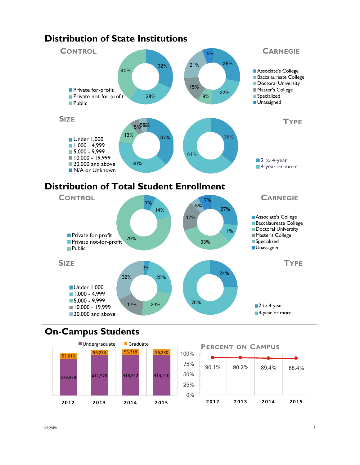

## **Distribution of State Institutions**

# **Distribution of Total Student Enrollment**



# **On-Campus Students**

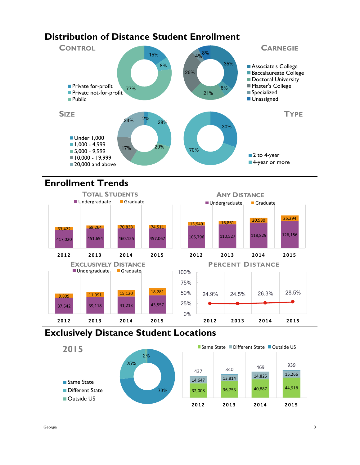# **Distribution of Distance Student Enrollment**



# **Enrollment Trends**



# **Exclusively Distance Student Locations**